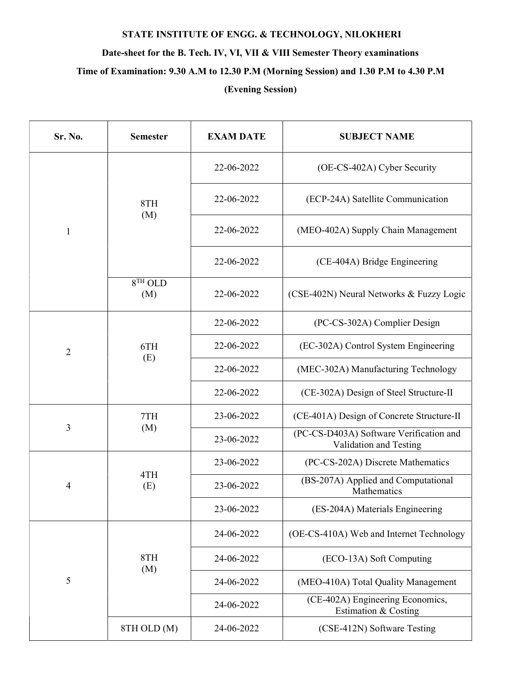## STATE INSTITUTE OF ENGG. & TECHNOLOGY, NILOKHERI

## Date-sheet for the B. Tech. IV, VI, VII & VIII Semester Theory examinations

Time of Examination: 9.30 A.M to 12.30 P.M (Morning Session) and 1.30 P.M to 4.30 P.M

## (Evening Session)

| Sr. No.        | <b>Semester</b>  | <b>EXAM DATE</b> | <b>SUBJECT NAME</b>                                               |
|----------------|------------------|------------------|-------------------------------------------------------------------|
| 1              | 8TH<br>(M)       | 22-06-2022       | (OE-CS-402A) Cyber Security                                       |
|                |                  | 22-06-2022       | (ECP-24A) Satellite Communication                                 |
|                |                  | 22-06-2022       | (MEO-402A) Supply Chain Management                                |
|                |                  | 22-06-2022       | (CE-404A) Bridge Engineering                                      |
|                | $8TH$ OLD<br>(M) | 22-06-2022       | (CSE-402N) Neural Networks & Fuzzy Logic                          |
| $\overline{2}$ | 6TH<br>(E)       | 22-06-2022       | (PC-CS-302A) Complier Design                                      |
|                |                  | 22-06-2022       | (EC-302A) Control System Engineering                              |
|                |                  | 22-06-2022       | (MEC-302A) Manufacturing Technology                               |
|                |                  | 22-06-2022       | (CE-302A) Design of Steel Structure-II                            |
| 3              | 7TH<br>(M)       | 23-06-2022       | (CE-401A) Design of Concrete Structure-II                         |
|                |                  | 23-06-2022       | (PC-CS-D403A) Software Verification and<br>Validation and Testing |
| $\overline{4}$ | 4TH<br>(E)       | 23-06-2022       | (PC-CS-202A) Discrete Mathematics                                 |
|                |                  | 23-06-2022       | (BS-207A) Applied and Computational<br>Mathematics                |
|                |                  | 23-06-2022       | (ES-204A) Materials Engineering                                   |
| 5              | 8TH<br>(M)       | 24-06-2022       | (OE-CS-410A) Web and Internet Technology                          |
|                |                  | 24-06-2022       | (ECO-13A) Soft Computing                                          |
|                |                  | 24-06-2022       | (MEO-410A) Total Quality Management                               |
|                |                  | 24-06-2022       | (CE-402A) Engineering Economics,<br>Estimation & Costing          |
|                | 8TH OLD (M)      | 24-06-2022       | (CSE-412N) Software Testing                                       |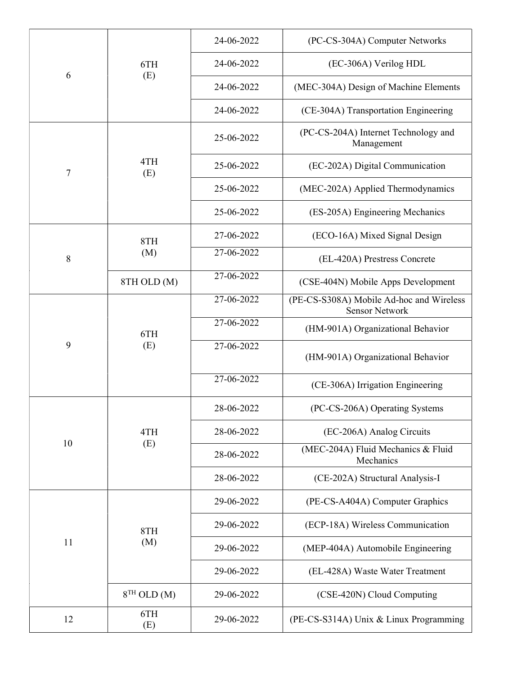| 6  | 6TH<br>(E)    | 24-06-2022 | (PC-CS-304A) Computer Networks                                    |
|----|---------------|------------|-------------------------------------------------------------------|
|    |               | 24-06-2022 | (EC-306A) Verilog HDL                                             |
|    |               | 24-06-2022 | (MEC-304A) Design of Machine Elements                             |
|    |               | 24-06-2022 | (CE-304A) Transportation Engineering                              |
| 7  | 4TH<br>(E)    | 25-06-2022 | (PC-CS-204A) Internet Technology and<br>Management                |
|    |               | 25-06-2022 | (EC-202A) Digital Communication                                   |
|    |               | 25-06-2022 | (MEC-202A) Applied Thermodynamics                                 |
|    |               | 25-06-2022 | (ES-205A) Engineering Mechanics                                   |
| 8  | 8TH<br>(M)    | 27-06-2022 | (ECO-16A) Mixed Signal Design                                     |
|    |               | 27-06-2022 | (EL-420A) Prestress Concrete                                      |
|    | 8TH OLD (M)   | 27-06-2022 | (CSE-404N) Mobile Apps Development                                |
| 9  | 6TH<br>(E)    | 27-06-2022 | (PE-CS-S308A) Mobile Ad-hoc and Wireless<br><b>Sensor Network</b> |
|    |               | 27-06-2022 | (HM-901A) Organizational Behavior                                 |
|    |               | 27-06-2022 | (HM-901A) Organizational Behavior                                 |
|    |               | 27-06-2022 | (CE-306A) Irrigation Engineering                                  |
| 10 | 4TH<br>(E)    | 28-06-2022 | (PC-CS-206A) Operating Systems                                    |
|    |               | 28-06-2022 | (EC-206A) Analog Circuits                                         |
|    |               | 28-06-2022 | (MEC-204A) Fluid Mechanics & Fluid<br>Mechanics                   |
|    |               | 28-06-2022 | (CE-202A) Structural Analysis-I                                   |
| 11 | 8TH<br>(M)    | 29-06-2022 | (PE-CS-A404A) Computer Graphics                                   |
|    |               | 29-06-2022 | (ECP-18A) Wireless Communication                                  |
|    |               | 29-06-2022 | (MEP-404A) Automobile Engineering                                 |
|    |               | 29-06-2022 | (EL-428A) Waste Water Treatment                                   |
|    | $8TH$ OLD (M) | 29-06-2022 | (CSE-420N) Cloud Computing                                        |
| 12 | 6TH<br>(E)    | 29-06-2022 | (PE-CS-S314A) Unix & Linux Programming                            |